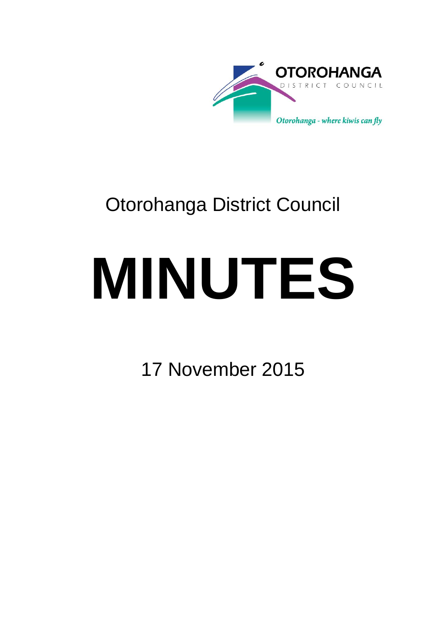

## Otorohanga District Council

# **MINUTES**

17 November 2015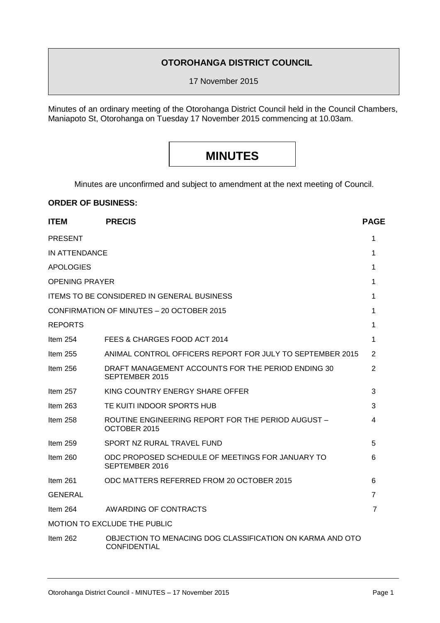#### **OTOROHANGA DISTRICT COUNCIL**

17 November 2015

Minutes of an ordinary meeting of the Otorohanga District Council held in the Council Chambers, Maniapoto St, Otorohanga on Tuesday 17 November 2015 commencing at 10.03am.

### **MINUTES**

Minutes are unconfirmed and subject to amendment at the next meeting of Council.

#### **ORDER OF BUSINESS:**

| <b>ITEM</b>                                       | <b>PRECIS</b>                                                                    | <b>PAGE</b>    |
|---------------------------------------------------|----------------------------------------------------------------------------------|----------------|
| <b>PRESENT</b>                                    |                                                                                  | 1              |
| IN ATTENDANCE                                     |                                                                                  |                |
| <b>APOLOGIES</b>                                  |                                                                                  | 1              |
| <b>OPENING PRAYER</b>                             |                                                                                  |                |
| <b>ITEMS TO BE CONSIDERED IN GENERAL BUSINESS</b> |                                                                                  |                |
| CONFIRMATION OF MINUTES - 20 OCTOBER 2015         |                                                                                  |                |
| REPORTS                                           |                                                                                  | 1              |
| Item $254$                                        | FEES & CHARGES FOOD ACT 2014                                                     | 1              |
| Item 255                                          | ANIMAL CONTROL OFFICERS REPORT FOR JULY TO SEPTEMBER 2015                        | 2              |
| Item $256$                                        | DRAFT MANAGEMENT ACCOUNTS FOR THE PERIOD ENDING 30<br>SEPTEMBER 2015             | $\overline{2}$ |
| Item $257$                                        | KING COUNTRY ENERGY SHARE OFFER                                                  | 3              |
| Item $263$                                        | TE KUITI INDOOR SPORTS HUB                                                       | 3              |
| Item 258                                          | ROUTINE ENGINEERING REPORT FOR THE PERIOD AUGUST -<br>OCTOBER 2015               | 4              |
| Item $259$                                        | SPORT NZ RURAL TRAVEL FUND                                                       | 5              |
| Item $260$                                        | ODC PROPOSED SCHEDULE OF MEETINGS FOR JANUARY TO<br>SEPTEMBER 2016               | 6              |
| Item $261$                                        | ODC MATTERS REFERRED FROM 20 OCTOBER 2015                                        | 6              |
| <b>GENERAL</b>                                    |                                                                                  | $\overline{7}$ |
| Item $264$                                        | <b>AWARDING OF CONTRACTS</b>                                                     | 7              |
| <b>MOTION TO EXCLUDE THE PUBLIC</b>               |                                                                                  |                |
| Item 262                                          | OBJECTION TO MENACING DOG CLASSIFICATION ON KARMA AND OTO<br><b>CONFIDENTIAL</b> |                |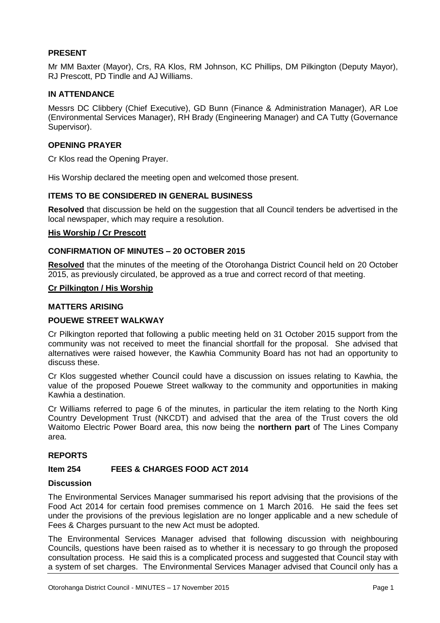#### **PRESENT**

Mr MM Baxter (Mayor), Crs, RA Klos, RM Johnson, KC Phillips, DM Pilkington (Deputy Mayor), RJ Prescott, PD Tindle and AJ Williams.

#### **IN ATTENDANCE**

Messrs DC Clibbery (Chief Executive), GD Bunn (Finance & Administration Manager), AR Loe (Environmental Services Manager), RH Brady (Engineering Manager) and CA Tutty (Governance Supervisor).

#### **OPENING PRAYER**

Cr Klos read the Opening Prayer.

His Worship declared the meeting open and welcomed those present.

#### **ITEMS TO BE CONSIDERED IN GENERAL BUSINESS**

**Resolved** that discussion be held on the suggestion that all Council tenders be advertised in the local newspaper, which may require a resolution.

#### **His Worship / Cr Prescott**

#### **CONFIRMATION OF MINUTES – 20 OCTOBER 2015**

**Resolved** that the minutes of the meeting of the Otorohanga District Council held on 20 October 2015, as previously circulated, be approved as a true and correct record of that meeting.

#### **Cr Pilkington / His Worship**

#### **MATTERS ARISING**

#### **POUEWE STREET WALKWAY**

Cr Pilkington reported that following a public meeting held on 31 October 2015 support from the community was not received to meet the financial shortfall for the proposal. She advised that alternatives were raised however, the Kawhia Community Board has not had an opportunity to discuss these.

Cr Klos suggested whether Council could have a discussion on issues relating to Kawhia, the value of the proposed Pouewe Street walkway to the community and opportunities in making Kawhia a destination.

Cr Williams referred to page 6 of the minutes, in particular the item relating to the North King Country Development Trust (NKCDT) and advised that the area of the Trust covers the old Waitomo Electric Power Board area, this now being the **northern part** of The Lines Company area.

#### **REPORTS**

#### **Item 254 FEES & CHARGES FOOD ACT 2014**

#### **Discussion**

The Environmental Services Manager summarised his report advising that the provisions of the Food Act 2014 for certain food premises commence on 1 March 2016. He said the fees set under the provisions of the previous legislation are no longer applicable and a new schedule of Fees & Charges pursuant to the new Act must be adopted.

The Environmental Services Manager advised that following discussion with neighbouring Councils, questions have been raised as to whether it is necessary to go through the proposed consultation process. He said this is a complicated process and suggested that Council stay with a system of set charges. The Environmental Services Manager advised that Council only has a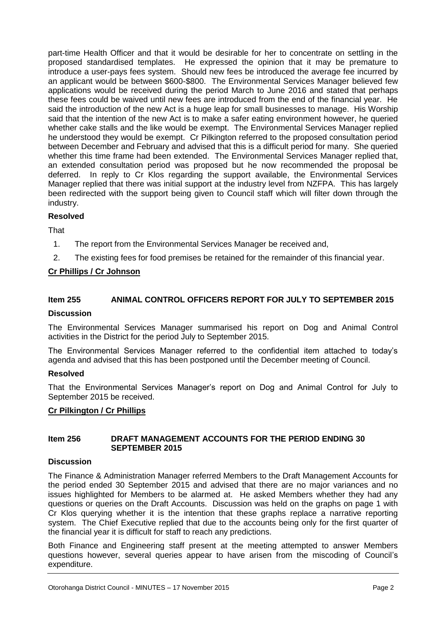part-time Health Officer and that it would be desirable for her to concentrate on settling in the proposed standardised templates. He expressed the opinion that it may be premature to introduce a user-pays fees system. Should new fees be introduced the average fee incurred by an applicant would be between \$600-\$800. The Environmental Services Manager believed few applications would be received during the period March to June 2016 and stated that perhaps these fees could be waived until new fees are introduced from the end of the financial year. He said the introduction of the new Act is a huge leap for small businesses to manage. His Worship said that the intention of the new Act is to make a safer eating environment however, he queried whether cake stalls and the like would be exempt. The Environmental Services Manager replied he understood they would be exempt. Cr Pilkington referred to the proposed consultation period between December and February and advised that this is a difficult period for many. She queried whether this time frame had been extended. The Environmental Services Manager replied that, an extended consultation period was proposed but he now recommended the proposal be deferred. In reply to Cr Klos regarding the support available, the Environmental Services Manager replied that there was initial support at the industry level from NZFPA. This has largely been redirected with the support being given to Council staff which will filter down through the industry.

#### **Resolved**

**That** 

- 1. The report from the Environmental Services Manager be received and,
- 2. The existing fees for food premises be retained for the remainder of this financial year.

#### **Cr Phillips / Cr Johnson**

#### **Item 255 ANIMAL CONTROL OFFICERS REPORT FOR JULY TO SEPTEMBER 2015**

#### **Discussion**

The Environmental Services Manager summarised his report on Dog and Animal Control activities in the District for the period July to September 2015.

The Environmental Services Manager referred to the confidential item attached to today's agenda and advised that this has been postponed until the December meeting of Council.

#### **Resolved**

That the Environmental Services Manager's report on Dog and Animal Control for July to September 2015 be received.

#### **Cr Pilkington / Cr Phillips**

#### **Item 256 DRAFT MANAGEMENT ACCOUNTS FOR THE PERIOD ENDING 30 SEPTEMBER 2015**

#### **Discussion**

The Finance & Administration Manager referred Members to the Draft Management Accounts for the period ended 30 September 2015 and advised that there are no major variances and no issues highlighted for Members to be alarmed at. He asked Members whether they had any questions or queries on the Draft Accounts. Discussion was held on the graphs on page 1 with Cr Klos querying whether it is the intention that these graphs replace a narrative reporting system. The Chief Executive replied that due to the accounts being only for the first quarter of the financial year it is difficult for staff to reach any predictions.

Both Finance and Engineering staff present at the meeting attempted to answer Members questions however, several queries appear to have arisen from the miscoding of Council's expenditure.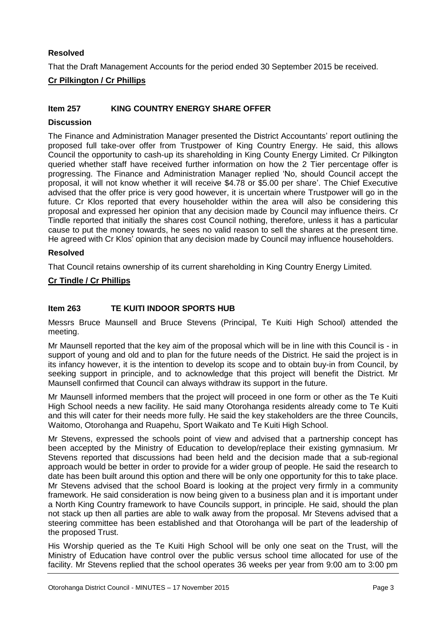#### **Resolved**

That the Draft Management Accounts for the period ended 30 September 2015 be received.

#### **Cr Pilkington / Cr Phillips**

#### **Item 257 KING COUNTRY ENERGY SHARE OFFER**

#### **Discussion**

The Finance and Administration Manager presented the District Accountants' report outlining the proposed full take-over offer from Trustpower of King Country Energy. He said, this allows Council the opportunity to cash-up its shareholding in King County Energy Limited. Cr Pilkington queried whether staff have received further information on how the 2 Tier percentage offer is progressing. The Finance and Administration Manager replied 'No, should Council accept the proposal, it will not know whether it will receive \$4.78 or \$5.00 per share'. The Chief Executive advised that the offer price is very good however, it is uncertain where Trustpower will go in the future. Cr Klos reported that every householder within the area will also be considering this proposal and expressed her opinion that any decision made by Council may influence theirs. Cr Tindle reported that initially the shares cost Council nothing, therefore, unless it has a particular cause to put the money towards, he sees no valid reason to sell the shares at the present time. He agreed with Cr Klos' opinion that any decision made by Council may influence householders.

#### **Resolved**

That Council retains ownership of its current shareholding in King Country Energy Limited.

#### **Cr Tindle / Cr Phillips**

#### **Item 263 TE KUITI INDOOR SPORTS HUB**

Messrs Bruce Maunsell and Bruce Stevens (Principal, Te Kuiti High School) attended the meeting.

Mr Maunsell reported that the key aim of the proposal which will be in line with this Council is - in support of young and old and to plan for the future needs of the District. He said the project is in its infancy however, it is the intention to develop its scope and to obtain buy-in from Council, by seeking support in principle, and to acknowledge that this project will benefit the District. Mr Maunsell confirmed that Council can always withdraw its support in the future.

Mr Maunsell informed members that the project will proceed in one form or other as the Te Kuiti High School needs a new facility. He said many Otorohanga residents already come to Te Kuiti and this will cater for their needs more fully. He said the key stakeholders are the three Councils, Waitomo, Otorohanga and Ruapehu, Sport Waikato and Te Kuiti High School.

Mr Stevens, expressed the schools point of view and advised that a partnership concept has been accepted by the Ministry of Education to develop/replace their existing gymnasium. Mr Stevens reported that discussions had been held and the decision made that a sub-regional approach would be better in order to provide for a wider group of people. He said the research to date has been built around this option and there will be only one opportunity for this to take place. Mr Stevens advised that the school Board is looking at the project very firmly in a community framework. He said consideration is now being given to a business plan and it is important under a North King Country framework to have Councils support, in principle. He said, should the plan not stack up then all parties are able to walk away from the proposal. Mr Stevens advised that a steering committee has been established and that Otorohanga will be part of the leadership of the proposed Trust.

His Worship queried as the Te Kuiti High School will be only one seat on the Trust, will the Ministry of Education have control over the public versus school time allocated for use of the facility. Mr Stevens replied that the school operates 36 weeks per year from 9:00 am to 3:00 pm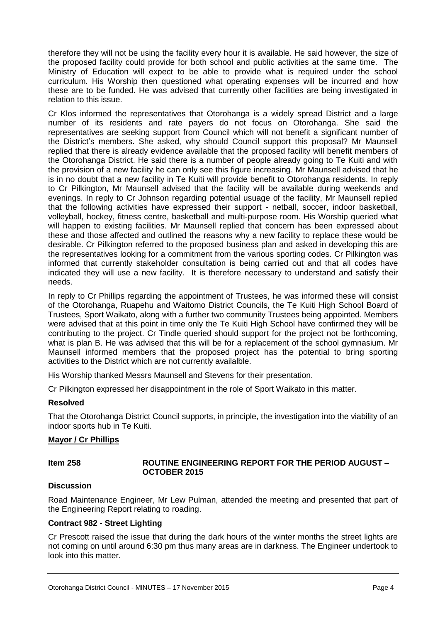therefore they will not be using the facility every hour it is available. He said however, the size of the proposed facility could provide for both school and public activities at the same time. The Ministry of Education will expect to be able to provide what is required under the school curriculum. His Worship then questioned what operating expenses will be incurred and how these are to be funded. He was advised that currently other facilities are being investigated in relation to this issue.

Cr Klos informed the representatives that Otorohanga is a widely spread District and a large number of its residents and rate payers do not focus on Otorohanga. She said the representatives are seeking support from Council which will not benefit a significant number of the District's members. She asked, why should Council support this proposal? Mr Maunsell replied that there is already evidence available that the proposed facility will benefit members of the Otorohanga District. He said there is a number of people already going to Te Kuiti and with the provision of a new facility he can only see this figure increasing. Mr Maunsell advised that he is in no doubt that a new facility in Te Kuiti will provide benefit to Otorohanga residents. In reply to Cr Pilkington, Mr Maunsell advised that the facility will be available during weekends and evenings. In reply to Cr Johnson regarding potential usuage of the facility, Mr Maunsell replied that the following activities have expressed their support - netball, soccer, indoor basketball, volleyball, hockey, fitness centre, basketball and multi-purpose room. His Worship queried what will happen to existing facilities. Mr Maunsell replied that concern has been expressed about these and those affected and outlined the reasons why a new facility to replace these would be desirable. Cr Pilkington referred to the proposed business plan and asked in developing this are the representatives looking for a commitment from the various sporting codes. Cr Pilkington was informed that currently stakeholder consultation is being carried out and that all codes have indicated they will use a new facility. It is therefore necessary to understand and satisfy their needs.

In reply to Cr Phillips regarding the appointment of Trustees, he was informed these will consist of the Otorohanga, Ruapehu and Waitomo District Councils, the Te Kuiti High School Board of Trustees, Sport Waikato, along with a further two community Trustees being appointed. Members were advised that at this point in time only the Te Kuiti High School have confirmed they will be contributing to the project. Cr Tindle queried should support for the project not be forthcoming, what is plan B. He was advised that this will be for a replacement of the school gymnasium. Mr Maunsell informed members that the proposed project has the potential to bring sporting activities to the District which are not currently availalble.

His Worship thanked Messrs Maunsell and Stevens for their presentation.

Cr Pilkington expressed her disappointment in the role of Sport Waikato in this matter.

#### **Resolved**

That the Otorohanga District Council supports, in principle, the investigation into the viability of an indoor sports hub in Te Kuiti.

#### **Mayor / Cr Phillips**

#### **Item 258 ROUTINE ENGINEERING REPORT FOR THE PERIOD AUGUST – OCTOBER 2015**

#### **Discussion**

Road Maintenance Engineer, Mr Lew Pulman, attended the meeting and presented that part of the Engineering Report relating to roading.

#### **Contract 982 - Street Lighting**

Cr Prescott raised the issue that during the dark hours of the winter months the street lights are not coming on until around 6:30 pm thus many areas are in darkness. The Engineer undertook to look into this matter.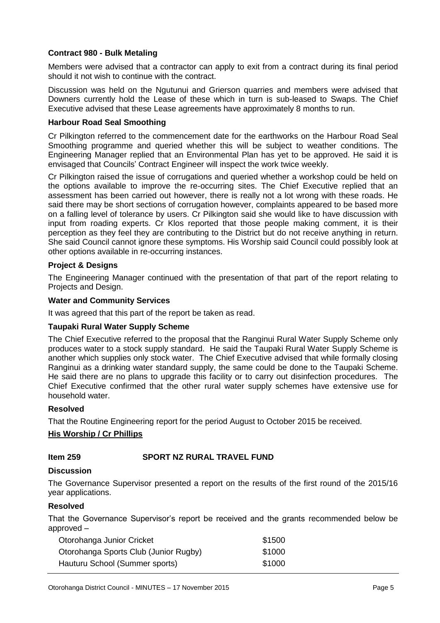#### **Contract 980 - Bulk Metaling**

Members were advised that a contractor can apply to exit from a contract during its final period should it not wish to continue with the contract.

Discussion was held on the Ngutunui and Grierson quarries and members were advised that Downers currently hold the Lease of these which in turn is sub-leased to Swaps. The Chief Executive advised that these Lease agreements have approximately 8 months to run.

#### **Harbour Road Seal Smoothing**

Cr Pilkington referred to the commencement date for the earthworks on the Harbour Road Seal Smoothing programme and queried whether this will be subject to weather conditions. The Engineering Manager replied that an Environmental Plan has yet to be approved. He said it is envisaged that Councils' Contract Engineer will inspect the work twice weekly.

Cr Pilkington raised the issue of corrugations and queried whether a workshop could be held on the options available to improve the re-occurring sites. The Chief Executive replied that an assessment has been carried out however, there is really not a lot wrong with these roads. He said there may be short sections of corrugation however, complaints appeared to be based more on a falling level of tolerance by users. Cr Pilkington said she would like to have discussion with input from roading experts. Cr Klos reported that those people making comment, it is their perception as they feel they are contributing to the District but do not receive anything in return. She said Council cannot ignore these symptoms. His Worship said Council could possibly look at other options available in re-occurring instances.

#### **Project & Designs**

The Engineering Manager continued with the presentation of that part of the report relating to Projects and Design.

#### **Water and Community Services**

It was agreed that this part of the report be taken as read.

#### **Taupaki Rural Water Supply Scheme**

The Chief Executive referred to the proposal that the Ranginui Rural Water Supply Scheme only produces water to a stock supply standard. He said the Taupaki Rural Water Supply Scheme is another which supplies only stock water. The Chief Executive advised that while formally closing Ranginui as a drinking water standard supply, the same could be done to the Taupaki Scheme. He said there are no plans to upgrade this facility or to carry out disinfection procedures. The Chief Executive confirmed that the other rural water supply schemes have extensive use for household water.

#### **Resolved**

That the Routine Engineering report for the period August to October 2015 be received.

#### **His Worship / Cr Phillips**

#### **Item 259 SPORT NZ RURAL TRAVEL FUND**

#### **Discussion**

The Governance Supervisor presented a report on the results of the first round of the 2015/16 year applications.

#### **Resolved**

That the Governance Supervisor's report be received and the grants recommended below be approved –

| Otorohanga Junior Cricket             | \$1500 |
|---------------------------------------|--------|
| Otorohanga Sports Club (Junior Rugby) | \$1000 |
| Hauturu School (Summer sports)        | \$1000 |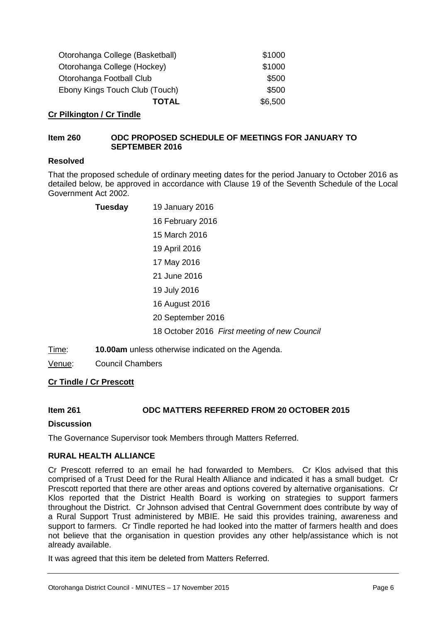| Otorohanga College (Basketball) | \$1000  |
|---------------------------------|---------|
| Otorohanga College (Hockey)     | \$1000  |
| Otorohanga Football Club        | \$500   |
| Ebony Kings Touch Club (Touch)  | \$500   |
| TOTAL                           | \$6,500 |

#### **Cr Pilkington / Cr Tindle**

#### **Item 260 ODC PROPOSED SCHEDULE OF MEETINGS FOR JANUARY TO SEPTEMBER 2016**

#### **Resolved**

That the proposed schedule of ordinary meeting dates for the period January to October 2016 as detailed below, be approved in accordance with Clause 19 of the Seventh Schedule of the Local Government Act 2002.

| <b>Tuesday</b> | 19 January 2016                              |
|----------------|----------------------------------------------|
|                | 16 February 2016                             |
|                | 15 March 2016                                |
|                | 19 April 2016                                |
|                | 17 May 2016                                  |
|                | 21 June 2016                                 |
|                | 19 July 2016                                 |
|                | 16 August 2016                               |
|                | 20 September 2016                            |
|                | 18 October 2016 First meeting of new Council |

Time: **10.00am** unless otherwise indicated on the Agenda.

Venue: Council Chambers

#### **Cr Tindle / Cr Prescott**

#### **Item 261 ODC MATTERS REFERRED FROM 20 OCTOBER 2015**

#### **Discussion**

The Governance Supervisor took Members through Matters Referred.

#### **RURAL HEALTH ALLIANCE**

Cr Prescott referred to an email he had forwarded to Members. Cr Klos advised that this comprised of a Trust Deed for the Rural Health Alliance and indicated it has a small budget. Cr Prescott reported that there are other areas and options covered by alternative organisations. Cr Klos reported that the District Health Board is working on strategies to support farmers throughout the District. Cr Johnson advised that Central Government does contribute by way of a Rural Support Trust administered by MBIE. He said this provides training, awareness and support to farmers. Cr Tindle reported he had looked into the matter of farmers health and does not believe that the organisation in question provides any other help/assistance which is not already available.

It was agreed that this item be deleted from Matters Referred.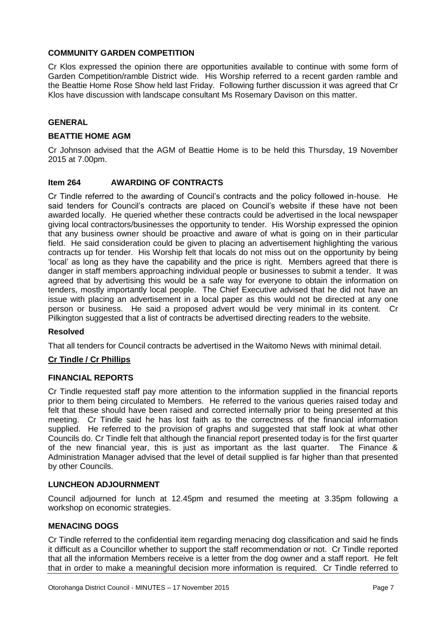#### **COMMUNITY GARDEN COMPETITION**

Cr Klos expressed the opinion there are opportunities available to continue with some form of Garden Competition/ramble District wide. His Worship referred to a recent garden ramble and the Beattie Home Rose Show held last Friday. Following further discussion it was agreed that Cr Klos have discussion with landscape consultant Ms Rosemary Davison on this matter.

#### **GENERAL**

#### **BEATTIE HOME AGM**

Cr Johnson advised that the AGM of Beattie Home is to be held this Thursday, 19 November 2015 at 7.00pm.

#### **Item 264 AWARDING OF CONTRACTS**

Cr Tindle referred to the awarding of Council's contracts and the policy followed in-house. He said tenders for Council's contracts are placed on Council's website if these have not been awarded locally. He queried whether these contracts could be advertised in the local newspaper giving local contractors/businesses the opportunity to tender. His Worship expressed the opinion that any business owner should be proactive and aware of what is going on in their particular field. He said consideration could be given to placing an advertisement highlighting the various contracts up for tender. His Worship felt that locals do not miss out on the opportunity by being 'local' as long as they have the capability and the price is right. Members agreed that there is danger in staff members approaching individual people or businesses to submit a tender. It was agreed that by advertising this would be a safe way for everyone to obtain the information on tenders, mostly importantly local people. The Chief Executive advised that he did not have an issue with placing an advertisement in a local paper as this would not be directed at any one person or business. He said a proposed advert would be very minimal in its content. Cr Pilkington suggested that a list of contracts be advertised directing readers to the website.

#### **Resolved**

That all tenders for Council contracts be advertised in the Waitomo News with minimal detail.

#### **Cr Tindle / Cr Phillips**

#### **FINANCIAL REPORTS**

Cr Tindle requested staff pay more attention to the information supplied in the financial reports prior to them being circulated to Members. He referred to the various queries raised today and felt that these should have been raised and corrected internally prior to being presented at this meeting. Cr Tindle said he has lost faith as to the correctness of the financial information supplied. He referred to the provision of graphs and suggested that staff look at what other Councils do. Cr Tindle felt that although the financial report presented today is for the first quarter of the new financial year, this is just as important as the last quarter. The Finance & Administration Manager advised that the level of detail supplied is far higher than that presented by other Councils.

#### **LUNCHEON ADJOURNMENT**

Council adjourned for lunch at 12.45pm and resumed the meeting at 3.35pm following a workshop on economic strategies.

#### **MENACING DOGS**

Cr Tindle referred to the confidential item regarding menacing dog classification and said he finds it difficult as a Councillor whether to support the staff recommendation or not. Cr Tindle reported that all the information Members receive is a letter from the dog owner and a staff report. He felt that in order to make a meaningful decision more information is required. Cr Tindle referred to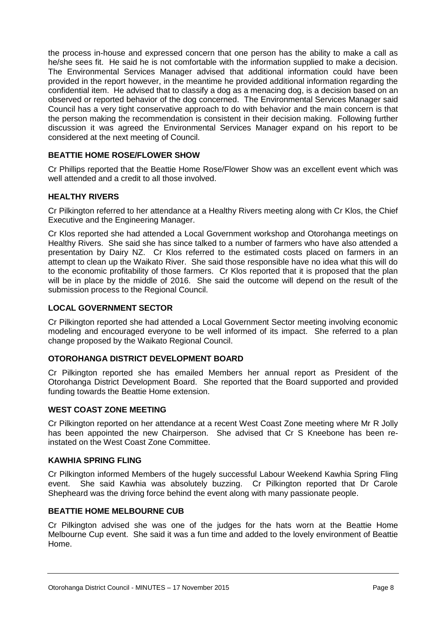the process in-house and expressed concern that one person has the ability to make a call as he/she sees fit. He said he is not comfortable with the information supplied to make a decision. The Environmental Services Manager advised that additional information could have been provided in the report however, in the meantime he provided additional information regarding the confidential item. He advised that to classify a dog as a menacing dog, is a decision based on an observed or reported behavior of the dog concerned. The Environmental Services Manager said Council has a very tight conservative approach to do with behavior and the main concern is that the person making the recommendation is consistent in their decision making. Following further discussion it was agreed the Environmental Services Manager expand on his report to be considered at the next meeting of Council.

#### **BEATTIE HOME ROSE/FLOWER SHOW**

Cr Phillips reported that the Beattie Home Rose/Flower Show was an excellent event which was well attended and a credit to all those involved.

#### **HEALTHY RIVERS**

Cr Pilkington referred to her attendance at a Healthy Rivers meeting along with Cr Klos, the Chief Executive and the Engineering Manager.

Cr Klos reported she had attended a Local Government workshop and Otorohanga meetings on Healthy Rivers. She said she has since talked to a number of farmers who have also attended a presentation by Dairy NZ. Cr Klos referred to the estimated costs placed on farmers in an attempt to clean up the Waikato River. She said those responsible have no idea what this will do to the economic profitability of those farmers. Cr Klos reported that it is proposed that the plan will be in place by the middle of 2016. She said the outcome will depend on the result of the submission process to the Regional Council.

#### **LOCAL GOVERNMENT SECTOR**

Cr Pilkington reported she had attended a Local Government Sector meeting involving economic modeling and encouraged everyone to be well informed of its impact. She referred to a plan change proposed by the Waikato Regional Council.

#### **OTOROHANGA DISTRICT DEVELOPMENT BOARD**

Cr Pilkington reported she has emailed Members her annual report as President of the Otorohanga District Development Board. She reported that the Board supported and provided funding towards the Beattie Home extension.

#### **WEST COAST ZONE MEETING**

Cr Pilkington reported on her attendance at a recent West Coast Zone meeting where Mr R Jolly has been appointed the new Chairperson. She advised that Cr S Kneebone has been reinstated on the West Coast Zone Committee.

#### **KAWHIA SPRING FLING**

Cr Pilkington informed Members of the hugely successful Labour Weekend Kawhia Spring Fling event. She said Kawhia was absolutely buzzing. Cr Pilkington reported that Dr Carole Shepheard was the driving force behind the event along with many passionate people.

#### **BEATTIE HOME MELBOURNE CUB**

Cr Pilkington advised she was one of the judges for the hats worn at the Beattie Home Melbourne Cup event. She said it was a fun time and added to the lovely environment of Beattie Home.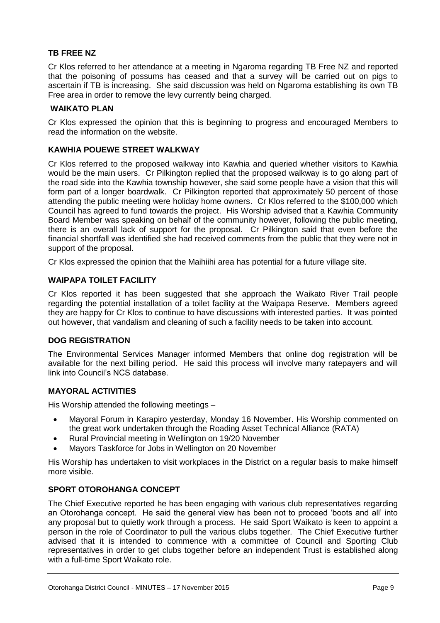#### **TB FREE NZ**

Cr Klos referred to her attendance at a meeting in Ngaroma regarding TB Free NZ and reported that the poisoning of possums has ceased and that a survey will be carried out on pigs to ascertain if TB is increasing. She said discussion was held on Ngaroma establishing its own TB Free area in order to remove the levy currently being charged.

#### **WAIKATO PLAN**

Cr Klos expressed the opinion that this is beginning to progress and encouraged Members to read the information on the website.

#### **KAWHIA POUEWE STREET WALKWAY**

Cr Klos referred to the proposed walkway into Kawhia and queried whether visitors to Kawhia would be the main users. Cr Pilkington replied that the proposed walkway is to go along part of the road side into the Kawhia township however, she said some people have a vision that this will form part of a longer boardwalk. Cr Pilkington reported that approximately 50 percent of those attending the public meeting were holiday home owners. Cr Klos referred to the \$100,000 which Council has agreed to fund towards the project. His Worship advised that a Kawhia Community Board Member was speaking on behalf of the community however, following the public meeting, there is an overall lack of support for the proposal. Cr Pilkington said that even before the financial shortfall was identified she had received comments from the public that they were not in support of the proposal.

Cr Klos expressed the opinion that the Maihiihi area has potential for a future village site.

#### **WAIPAPA TOILET FACILITY**

Cr Klos reported it has been suggested that she approach the Waikato River Trail people regarding the potential installation of a toilet facility at the Waipapa Reserve. Members agreed they are happy for Cr Klos to continue to have discussions with interested parties. It was pointed out however, that vandalism and cleaning of such a facility needs to be taken into account.

#### **DOG REGISTRATION**

The Environmental Services Manager informed Members that online dog registration will be available for the next billing period. He said this process will involve many ratepayers and will link into Council's NCS database.

#### **MAYORAL ACTIVITIES**

His Worship attended the following meetings –

- Mayoral Forum in Karapiro yesterday, Monday 16 November. His Worship commented on the great work undertaken through the Roading Asset Technical Alliance (RATA)
- Rural Provincial meeting in Wellington on 19/20 November
- Mayors Taskforce for Jobs in Wellington on 20 November

His Worship has undertaken to visit workplaces in the District on a regular basis to make himself more visible.

#### **SPORT OTOROHANGA CONCEPT**

The Chief Executive reported he has been engaging with various club representatives regarding an Otorohanga concept. He said the general view has been not to proceed 'boots and all' into any proposal but to quietly work through a process. He said Sport Waikato is keen to appoint a person in the role of Coordinator to pull the various clubs together. The Chief Executive further advised that it is intended to commence with a committee of Council and Sporting Club representatives in order to get clubs together before an independent Trust is established along with a full-time Sport Waikato role.